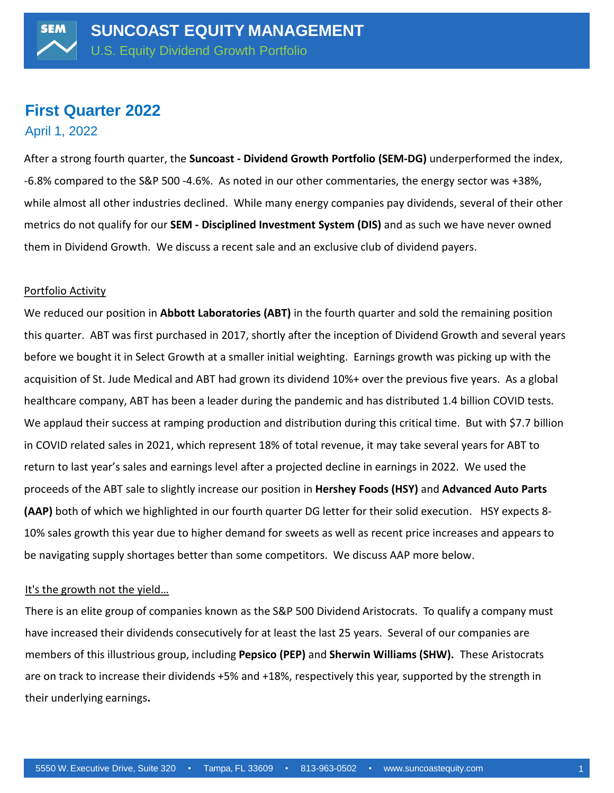# **First Quarter 2022**

April 1, 2022

After a strong fourth quarter, the **Suncoast - Dividend Growth Portfolio (SEM-DG)** underperformed the index, -6.8% compared to the S&P 500 -4.6%. As noted in our other commentaries, the energy sector was +38%, while almost all other industries declined. While many energy companies pay dividends, several of their other metrics do not qualify for our **SEM - Disciplined Investment System (DIS)** and as such we have never owned them in Dividend Growth. We discuss a recent sale and an exclusive club of dividend payers.

## Portfolio Activity

We reduced our position in **Abbott Laboratories (ABT)** in the fourth quarter and sold the remaining position this quarter. ABT was first purchased in 2017, shortly after the inception of Dividend Growth and several years before we bought it in Select Growth at a smaller initial weighting. Earnings growth was picking up with the acquisition of St. Jude Medical and ABT had grown its dividend 10%+ over the previous five years. As a global healthcare company, ABT has been a leader during the pandemic and has distributed 1.4 billion COVID tests. We applaud their success at ramping production and distribution during this critical time. But with \$7.7 billion in COVID related sales in 2021, which represent 18% of total revenue, it may take several years for ABT to return to last year's sales and earnings level after a projected decline in earnings in 2022. We used the proceeds of the ABT sale to slightly increase our position in **Hershey Foods (HSY)** and **Advanced Auto Parts (AAP)** both of which we highlighted in our fourth quarter DG letter for their solid execution. HSY expects 8- 10% sales growth this year due to higher demand for sweets as well as recent price increases and appears to be navigating supply shortages better than some competitors. We discuss AAP more below.

## It's the growth not the yield…

There is an elite group of companies known as the S&P 500 Dividend Aristocrats. To qualify a company must have increased their dividends consecutively for at least the last 25 years. Several of our companies are members of this illustrious group, including **Pepsico (PEP)** and **Sherwin Williams (SHW).** These Aristocrats are on track to increase their dividends +5% and +18%, respectively this year, supported by the strength in their underlying earnings**.**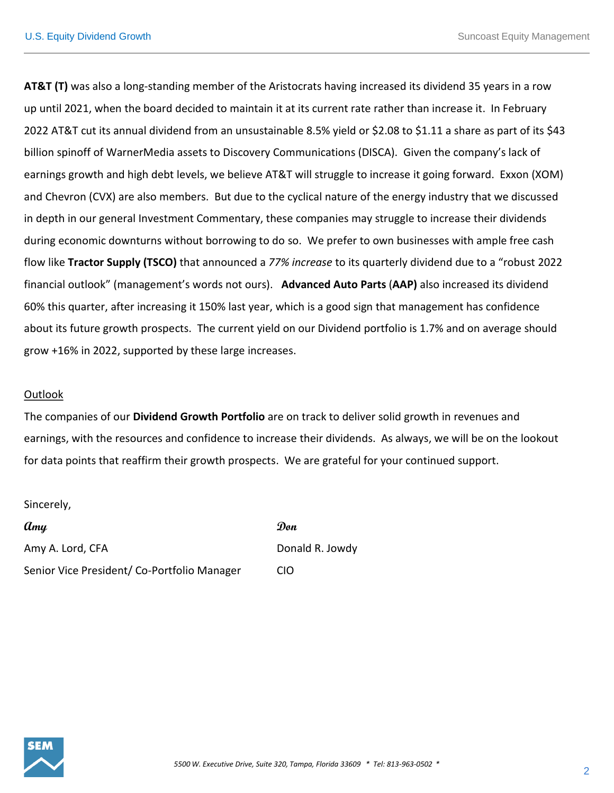**AT&T (T)** was also a long-standing member of the Aristocrats having increased its dividend 35 years in a row up until 2021, when the board decided to maintain it at its current rate rather than increase it. In February 2022 AT&T cut its annual dividend from an unsustainable 8.5% yield or \$2.08 to \$1.11 a share as part of its \$43 billion spinoff of WarnerMedia assets to Discovery Communications (DISCA). Given the company'<sup>s</sup> lack of earnings growth and high debt levels, we believe AT&T will struggle to increase it going forward. Exxon (XOM) and Chevron (CVX) are also members. But due to the cyclical nature of the energy industry that we discussed in depth in our general Investment Commentary, these companies may struggle to increase their dividends during economic downturns without borrowing to do so. We prefer to own businesses with ample free cash flow like **Tractor Supply (TSCO)** that announced a *77% increase* to its quarterly dividend due to a "robust 2022 financial outlook" (management's words not ours). **Advanced Auto Parts** (**AAP)** also increased its dividend 60% this quarter, after increasing it 150% last year, which is <sup>a</sup> good sign that management has confidence about its future growth prospects. The current yield on our Dividend portfolio is 1.7% and on average should grow +16% in 2022, supported by these large increases.

# Outlook

The companies of our **Dividend Growth Portfolio** are on track to deliver solid growth in revenues and earnings, with the resources and confidence to increase their dividends. As always, we will be on the lookout for data points that reaffirm their growth prospects. We are grateful for your continued support.

Sincerely,

**Amy Don** Amy A. Lord, CFA Donald R. Jowdy Senior Vice President/ Co-Portfolio Manager CIO

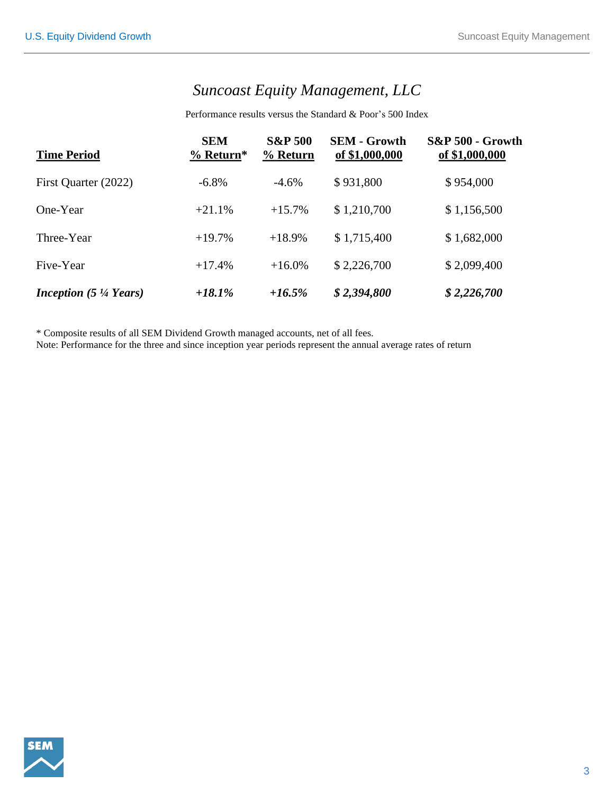# *Suncoast Equity Management, LLC*

Performance results versus the Standard & Poor's 500 Index

| <b>Time Period</b>                              | <b>SEM</b><br>% Return* | <b>S&amp;P 500</b><br>% Return | <b>SEM - Growth</b><br>of \$1,000,000 | <b>S&amp;P 500 - Growth</b><br>of \$1,000,000 |
|-------------------------------------------------|-------------------------|--------------------------------|---------------------------------------|-----------------------------------------------|
| First Quarter (2022)                            | $-6.8\%$                | $-4.6%$                        | \$931,800                             | \$954,000                                     |
| One-Year                                        | $+21.1%$                | $+15.7%$                       | \$1,210,700                           | \$1,156,500                                   |
| Three-Year                                      | $+19.7%$                | $+18.9%$                       | \$1,715,400                           | \$1,682,000                                   |
| Five-Year                                       | $+17.4%$                | $+16.0%$                       | \$2,226,700                           | \$2,099,400                                   |
| <b>Inception</b> $(5\frac{1}{4} \text{ Years})$ | $+18.1\%$               | $+16.5%$                       | \$2,394,800                           | \$2,226,700                                   |

\* Composite results of all SEM Dividend Growth managed accounts, net of all fees.

Note: Performance for the three and since inception year periods represent the annual average rates of return